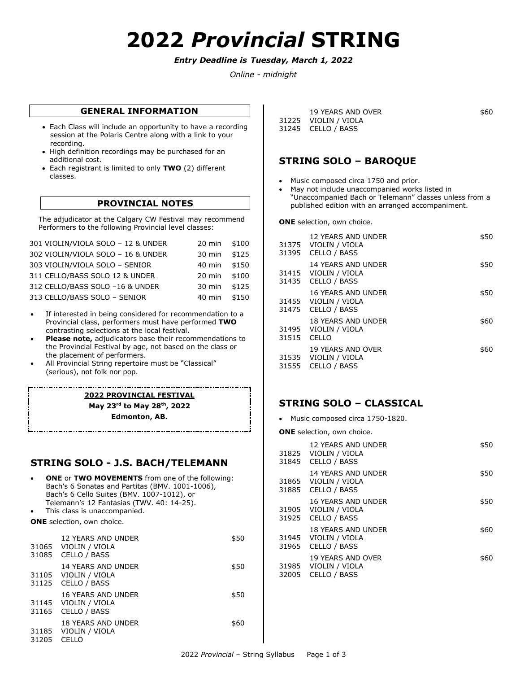# **2022** *Provincial* **STRING**

## *Entry Deadline is Tuesday, March 1, 2022*

*Online - midnight*

## **GENERAL INFORMATION**

- Each Class will include an opportunity to have a recording session at the Polaris Centre along with a link to your recording.
- High definition recordings may be purchased for an additional cost.
- Each registrant is limited to only **TWO** (2) different classes.

## **PROVINCIAL NOTES**

The adjudicator at the Calgary CW Festival may recommend Performers to the following Provincial level classes:

| 301 VIOLIN/VIOLA SOLO - 12 & UNDER | 20 min \$100 |       |
|------------------------------------|--------------|-------|
| 302 VIOLIN/VIOLA SOLO - 16 & UNDER | 30 min       | \$125 |
| 303 VIOLIN/VIOLA SOLO - SENIOR     | $40$ min     | \$150 |
| 311 CELLO/BASS SOLO 12 & UNDER     | 20 min \$100 |       |
| 312 CELLO/BASS SOLO -16 & UNDER    | $30$ min     | \$125 |
| 313 CELLO/BASS SOLO - SENIOR       | 40 min       | \$150 |
|                                    |              |       |

- If interested in being considered for recommendation to a Provincial class, performers must have performed **TWO**  contrasting selections at the local festival.
- **Please note,** adjudicators base their recommendations to the Provincial Festival by age, not based on the class or the placement of performers.
- All Provincial String repertoire must be "Classical" (serious), not folk nor pop.

**2022 PROVINCIAL FESTIVAL May 23rd to May 28th, 2022 Edmonton, AB.**

## **STRING SOLO - J.S. BACH/TELEMANN**

 **ONE** or **TWO MOVEMENTS** from one of the following: Bach's 6 Sonatas and Partitas (BMV. 1001-1006), Bach's 6 Cello Suites (BMV. 1007-1012), or Telemann's 12 Fantasias (TWV. 40: 14-25). This class is unaccompanied. **ONE** selection, own choice.

|       | 12 YEARS AND UNDER<br>31065 VIOLIN / VIOLA<br>31085 CELLO / BASS | \$50 |
|-------|------------------------------------------------------------------|------|
|       | 14 YEARS AND UNDER<br>31105 VIOLIN / VIOLA<br>31125 CELLO / BASS | \$50 |
|       | 16 YEARS AND UNDER<br>31145 VIOLIN / VIOLA<br>31165 CELLO / BASS | \$50 |
| 31205 | <b>18 YEARS AND UNDER</b><br>31185 VIOLIN / VIOLA<br>CELLO       | \$60 |

| 19 YEARS AND OVER    | \$60 |  |
|----------------------|------|--|
| 31225 VIOLIN / VIOLA |      |  |
| 31245 CELLO / BASS   |      |  |

## **STRING SOLO – BAROQUE**

- Music composed circa 1750 and prior.
- May not include unaccompanied works listed in "Unaccompanied Bach or Telemann" classes unless from a published edition with an arranged accompaniment.

**ONE** selection, own choice.

| 31395 | 12 YEARS AND UNDER<br>31375 VIOLIN / VIOLA<br>CELLO / BASS | \$50 |
|-------|------------------------------------------------------------|------|
| 31435 | 14 YEARS AND UNDER<br>31415 VIOLIN / VIOLA<br>CELLO / BASS | \$50 |
| 31475 | 16 YEARS AND UNDER<br>31455 VIOLIN / VIOLA<br>CELLO / BASS | \$50 |
| 31515 | 18 YEARS AND UNDER<br>31495 VIOLIN / VIOLA<br>CFLLO        | \$60 |
| 31555 | 19 YEARS AND OVER<br>31535 VIOLIN / VIOLA<br>CELLO / BASS  | \$60 |

## **STRING SOLO – CLASSICAL**

- Music composed circa 1750-1820.
- **ONE** selection, own choice.

|                | 12 YEARS AND UNDER<br>31825 VIOLIN / VIOLA<br>31845 CELLO / BASS | \$50 |
|----------------|------------------------------------------------------------------|------|
|                | 14 YEARS AND UNDER<br>31865 VIOLIN / VIOLA<br>31885 CELLO / BASS | \$50 |
| 31925          | 16 YEARS AND UNDER<br>31905 VIOLIN / VIOLA<br>CELLO / BASS       | \$50 |
|                | 18 YEARS AND UNDER<br>31945 VIOLIN / VIOLA<br>31965 CELLO / BASS | \$60 |
| 31985<br>32005 | <b>19 YEARS AND OVER</b><br>VIOLIN / VIOLA<br>CELLO / BASS       | \$60 |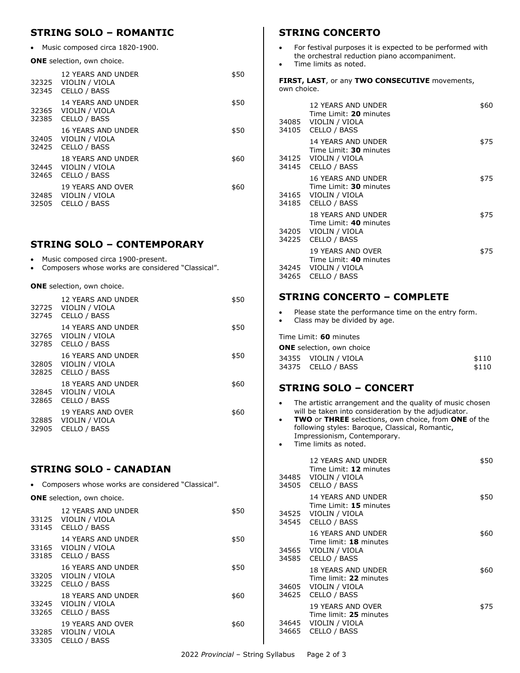# **STRING SOLO – ROMANTIC**

Music composed circa 1820-1900.

#### **ONE** selection, own choice.

| 32325<br>32345 | 12 YEARS AND UNDER<br>VIOLIN / VIOLA<br>CELLO / BASS       | \$50 |
|----------------|------------------------------------------------------------|------|
| 32365<br>32385 | 14 YEARS AND UNDER<br>VIOLIN / VIOLA<br>CELLO / BASS       | \$50 |
| 32425          | 16 YEARS AND UNDER<br>32405 VIOLIN / VIOLA<br>CELLO / BASS | \$50 |
| 32445<br>32465 | 18 YEARS AND UNDER<br>VIOLIN / VIOLA<br>CELLO / BASS       | \$60 |
| 32485<br>32505 | 19 YEARS AND OVER<br>VIOLIN / VIOLA<br>CELLO / BASS        | \$60 |

# **STRING SOLO – CONTEMPORARY**

- Music composed circa 1900-present.
- Composers whose works are considered "Classical".

#### **ONE** selection, own choice.

| 32745          | 12 YEARS AND UNDER<br>32725 VIOLIN / VIOLA<br>CELLO / BASS  | \$50 |
|----------------|-------------------------------------------------------------|------|
| 32765<br>32785 | 14 YEARS AND UNDER<br>VIOLIN / VIOLA<br>CELLO / BASS        | \$50 |
| 32805<br>32825 | 16 YEARS AND UNDER<br>VIOLIN / VIOLA<br>CELLO / BASS        | \$50 |
| 32845<br>32865 | <b>18 YEARS AND UNDER</b><br>VIOLIN / VIOLA<br>CELLO / BASS | \$60 |
| 32885<br>32905 | 19 YEARS AND OVER<br>VIOLIN / VIOLA<br>CELLO / BASS         | \$60 |
|                |                                                             |      |

## **STRING SOLO - CANADIAN**

Composers whose works are considered "Classical".

| <b>ONE</b> selection, own choice. |                                                                  |      |
|-----------------------------------|------------------------------------------------------------------|------|
|                                   | 12 YEARS AND UNDER<br>33125 VIOLIN / VIOLA<br>33145 CELLO / BASS | \$50 |
| 33185                             | 14 YEARS AND UNDER<br>33165 VIOLIN / VIOLA<br>CELLO / BASS       | \$50 |
| 33205<br>33225                    | 16 YEARS AND UNDER<br>VIOLIN / VIOLA<br>CELLO / BASS             | \$50 |
| 33245<br>33265                    | <b>18 YEARS AND UNDER</b><br>VIOLIN / VIOLA<br>CELLO / BASS      | \$60 |
| 33285<br>33305                    | 19 YEARS AND OVER<br>VIOLIN / VIOLA<br>CELLO / BASS              | \$60 |

# **STRING CONCERTO**

- For festival purposes it is expected to be performed with the orchestral reduction piano accompaniment.
- Time limits as noted.

**FIRST, LAST**, or any **TWO CONSECUTIVE** movements, own choice.

|       | 12 YEARS AND UNDER<br>Time Limit: 20 minutes<br>34085 VIOLIN / VIOLA<br>34105 CELLO / BASS        | \$60 |
|-------|---------------------------------------------------------------------------------------------------|------|
|       | <b>14 YEARS AND UNDER</b><br>Time Limit: 30 minutes<br>34125 VIOLIN / VIOLA<br>34145 CELLO / BASS | \$75 |
|       | 16 YEARS AND UNDER<br>Time Limit: 30 minutes<br>34165 VIOLIN / VIOLA<br>34185 CELLO / BASS        | \$75 |
|       | 18 YEARS AND UNDER<br>Time Limit: 40 minutes<br>34205 VIOLIN / VIOLA<br>34225 CELLO / BASS        | \$75 |
| 34265 | 19 YEARS AND OVER<br>Time Limit: 40 minutes<br>34245 VIOLIN / VIOLA<br>CELLO / BASS               | \$75 |

## **STRING CONCERTO – COMPLETE**

 Please state the performance time on the entry form. Class may be divided by age.

### Time Limit: **60** minutes

| <b>ONE</b> selection, own choice |                      |       |
|----------------------------------|----------------------|-------|
|                                  | 34355 VIOLIN / VIOLA | \$110 |
|                                  | 34375 CELLO / BASS   | \$110 |

# **STRING SOLO – CONCERT**

- The artistic arrangement and the quality of music chosen will be taken into consideration by the adjudicator.
- **TWO** or **THREE** selections, own choice, from **ONE** of the following styles: Baroque, Classical, Romantic, Impressionism, Contemporary.
- Time limits as noted.

| 34505 | 12 YEARS AND UNDER<br>Time Limit: 12 minutes<br>34485 VIOLIN / VIOLA<br>CELLO / BASS              | \$50 |
|-------|---------------------------------------------------------------------------------------------------|------|
|       | 14 YEARS AND UNDER<br>Time Limit: 15 minutes<br>34525 VIOLIN / VIOLA<br>34545 CELLO / BASS        | \$50 |
|       | <b>16 YEARS AND UNDER</b><br>Time limit: 18 minutes<br>34565 VIOLIN / VIOLA<br>34585 CELLO / BASS | \$60 |
| 34625 | 18 YEARS AND UNDER<br>Time limit: 22 minutes<br>34605 VIOLIN / VIOLA<br>CELLO / BASS              | \$60 |
| 34665 | 19 YEARS AND OVER<br>Time limit: 25 minutes<br>34645 VIOLIN / VIOLA<br>CELLO / BASS               | \$75 |